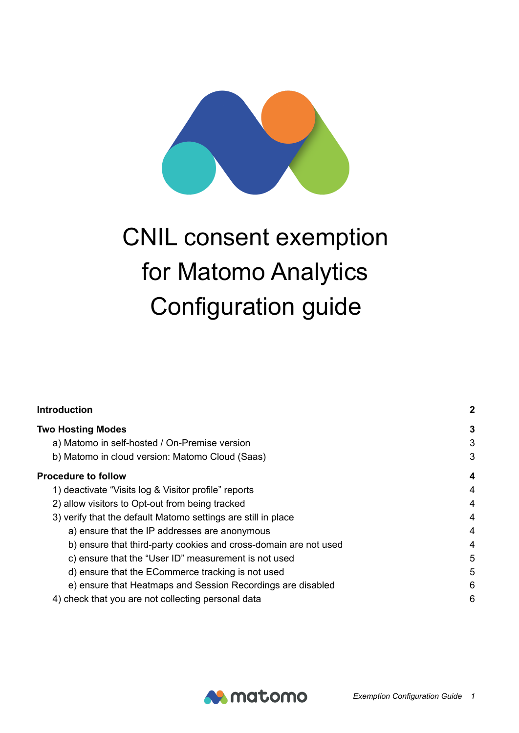# CNIL consent exemption for Matomo Analytics Configuration guide

| <b>Introduction</b><br><b>Two Hosting Modes</b>                  |   |
|------------------------------------------------------------------|---|
|                                                                  |   |
| b) Matomo in cloud version: Matomo Cloud (Saas)                  | 3 |
| <b>Procedure to follow</b>                                       | 4 |
| 1) deactivate "Visits log & Visitor profile" reports             | 4 |
| 2) allow visitors to Opt-out from being tracked                  | 4 |
| 3) verify that the default Matomo settings are still in place    | 4 |
| a) ensure that the IP addresses are anonymous                    | 4 |
| b) ensure that third-party cookies and cross-domain are not used | 4 |
| c) ensure that the "User ID" measurement is not used             | 5 |
| d) ensure that the ECommerce tracking is not used                | 5 |
| e) ensure that Heatmaps and Session Recordings are disabled      | 6 |
| 4) check that you are not collecting personal data               | 6 |

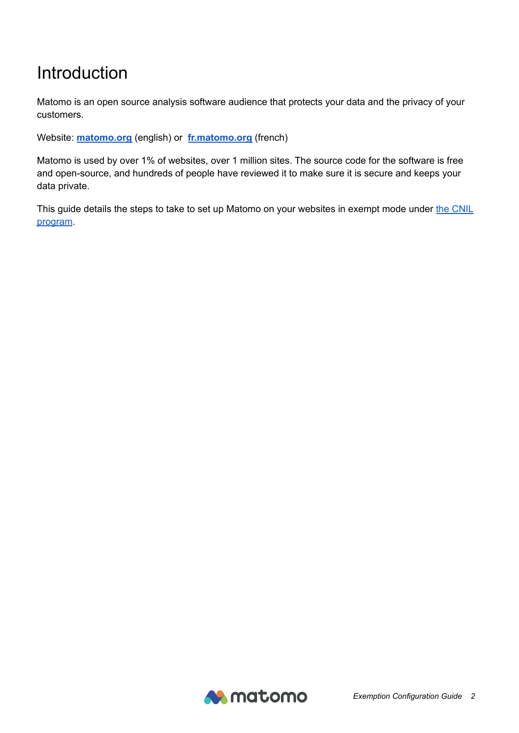## <span id="page-1-0"></span>Introduction

Matomo is an open source analysis software audience that protects your data and the privacy of your customers.

Website: **[matomo.org](https://matomo.org)** (english) or **[fr.matomo.org](https://fr.matomo.org)** (french)

Matomo is used by over 1% of websites, over 1 million sites. The source code for the software is free and open-source, and hundreds of people have reviewed it to make sure it is secure and keeps your data private.

This guide details the steps to take to set up Matomo on your websites in exempt mode under the [CNIL](https://www.cnil.fr/fr/cookies-solutions-pour-les-outils-de-mesure-daudience) [program](https://www.cnil.fr/fr/cookies-solutions-pour-les-outils-de-mesure-daudience).

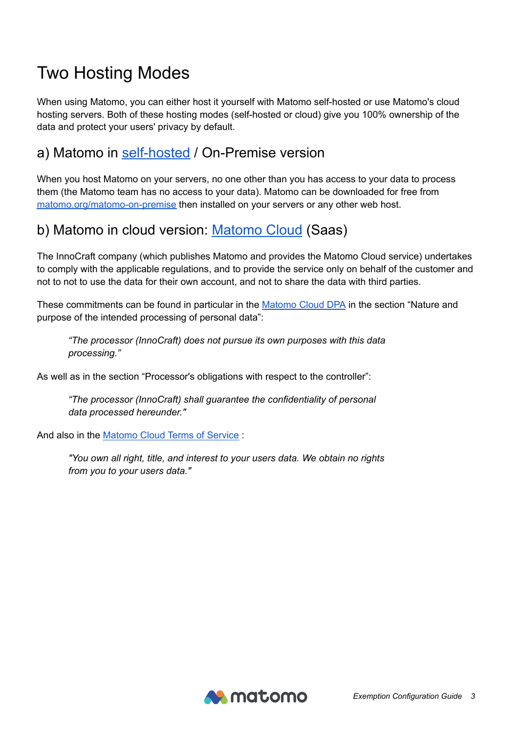# <span id="page-2-0"></span>Two Hosting Modes

When using Matomo, you can either host it yourself with Matomo self-hosted or use Matomo's cloud hosting servers. Both of these hosting modes (self-hosted or cloud) give you 100% ownership of the data and protect your users' privacy by default.

#### <span id="page-2-1"></span>a) Matomo in [self-hosted](https://matomo.org/matomo-on-premise/) / On-Premise version

When you host Matomo on your servers, no one other than you has access to your data to process them (the Matomo team has no access to your data). Matomo can be downloaded for free from [matomo.org/matomo-on-premise](https://matomo.org/matomo-on-premise/) then installed on your servers or any other web host.

#### <span id="page-2-2"></span>b) Matomo in cloud version: [Matomo](https://matomo.org/matomo-cloud/) Cloud (Saas)

The InnoCraft company (which publishes Matomo and provides the Matomo Cloud service) undertakes to comply with the applicable regulations, and to provide the service only on behalf of the customer and not to not to use the data for their own account, and not to share the data with third parties.

These commitments can be found in particular in the [Matomo](https://matomo.org/matomo-cloud-dpa/) Cloud DPA in the section "Nature and purpose of the intended processing of personal data":

*"The processor (InnoCraft) does not pursue its own purposes with this data processing."*

As well as in the section "Processor's obligations with respect to the controller":

*"The processor (InnoCraft) shall guarantee the confidentiality of personal data processed hereunder."*

And also in the [Matomo](https://matomo.org/matomo-cloud-terms-of-service/) Cloud Terms of Service :

*"You own all right, title, and interest to your users data. We obtain no rights from you to your users data."*

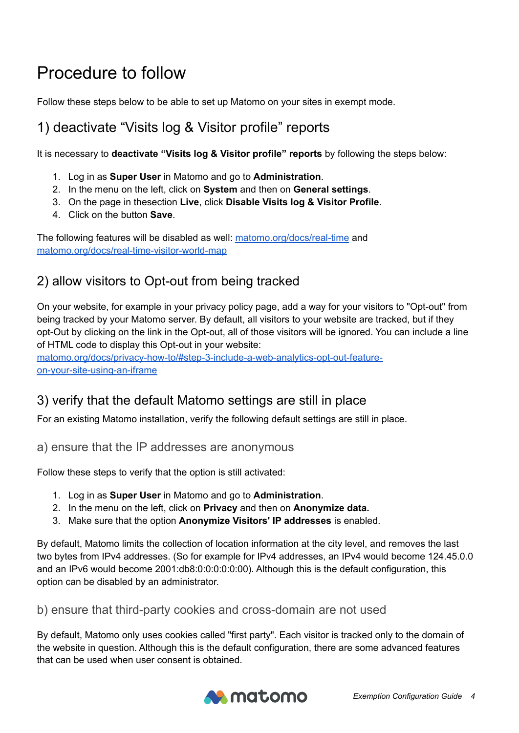# <span id="page-3-0"></span>Procedure to follow

Follow these steps below to be able to set up Matomo on your sites in exempt mode.

### <span id="page-3-1"></span>1) deactivate "Visits log & Visitor profile" reports

It is necessary to **deactivate "Visits log & Visitor profile" reports** by following the steps below:

- 1. Log in as **Super User** in Matomo and go to **Administration**.
- 2. In the menu on the left, click on **System** and then on **General settings**.
- 3. On the page in thesection **Live**, click **Disable Visits log & Visitor Profile**.
- 4. Click on the button **Save**.

The following features will be disabled as well: [matomo.org/docs/real-time](https://matomo.org/docs/real-time/) and [matomo.org/docs/real-time-visitor-world-map](https://matomo.org/docs/real-time-visitor-world-map/)

#### <span id="page-3-2"></span>2) allow visitors to Opt-out from being tracked

On your website, for example in your privacy policy page, add a way for your visitors to "Opt-out" from being tracked by your Matomo server. By default, all visitors to your website are tracked, but if they opt-Out by clicking on the link in the Opt-out, all of those visitors will be ignored. You can include a line of HTML code to display this Opt-out in your website:

[matomo.org/docs/privacy-how-to/#step-3-include-a-web-analytics-opt-out-feature](https://matomo.org/docs/privacy-how-to/#step-3-include-a-web-analytics-opt-out-feature-on-your-site-using-an-iframe)[on-your-site-using-an-iframe](https://matomo.org/docs/privacy-how-to/#step-3-include-a-web-analytics-opt-out-feature-on-your-site-using-an-iframe)

#### <span id="page-3-3"></span>3) verify that the default Matomo settings are still in place

<span id="page-3-4"></span>For an existing Matomo installation, verify the following default settings are still in place.

#### a) ensure that the IP addresses are anonymous

Follow these steps to verify that the option is still activated:

- 1. Log in as **Super User** in Matomo and go to **Administration**.
- 2. In the menu on the left, click on **Privacy** and then on **Anonymize data.**
- 3. Make sure that the option **Anonymize Visitors' IP addresses** is enabled.

By default, Matomo limits the collection of location information at the city level, and removes the last two bytes from IPv4 addresses. (So for example for IPv4 addresses, an IPv4 would become 124.45.0.0 and an IPv6 would become 2001:db8:0:0:0:0:0:00). Although this is the default configuration, this option can be disabled by an administrator.

#### <span id="page-3-5"></span>b) ensure that third-party cookies and cross-domain are not used

By default, Matomo only uses cookies called "first party". Each visitor is tracked only to the domain of the website in question. Although this is the default configuration, there are some advanced features that can be used when user consent is obtained.

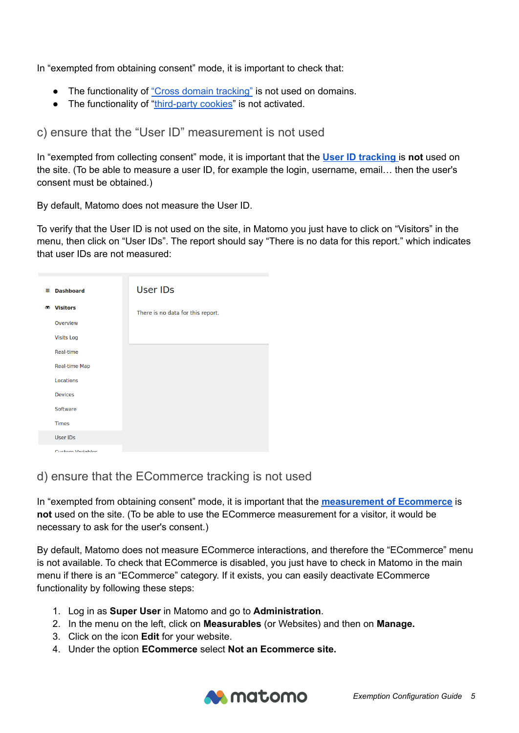In "exempted from obtaining consent" mode, it is important to check that:

- The functionality of "Cross domain [tracking"](https://matomo.org/faq/how-to/faq_23654/) is not used on domains.
- The functionality of ["third-party](https://matomo.org/faq/how-to/faq_118/) cookies" is not activated.

<span id="page-4-0"></span>c) ensure that the "User ID" measurement is not used

In "exempted from collecting consent" mode, it is important that the **User ID [tracking](https://matomo.org/docs/user-id/)** is **not** used on the site. (To be able to measure a user ID, for example the login, username, email… then the user's consent must be obtained.)

By default, Matomo does not measure the User ID.

To verify that the User ID is not used on the site, in Matomo you just have to click on "Visitors" in the menu, then click on "User IDs". The report should say "There is no data for this report." which indicates that user IDs are not measured:

| ₩ | <b>Dashboard</b>     | <b>User IDs</b>                   |
|---|----------------------|-----------------------------------|
|   | <b>86 Visitors</b>   | There is no data for this report. |
|   | Overview             |                                   |
|   | <b>Visits Log</b>    |                                   |
|   | Real-time            |                                   |
|   | <b>Real-time Map</b> |                                   |
|   | Locations            |                                   |
|   | <b>Devices</b>       |                                   |
|   | Software             |                                   |
|   | <b>Times</b>         |                                   |
|   | <b>User IDs</b>      |                                   |
|   | Custom Variables     |                                   |

#### <span id="page-4-1"></span>d) ensure that the ECommerce tracking is not used

In "exempted from obtaining consent" mode, it is important that the **[measurement](https://matomo.org/docs/ecommerce-analytics/) of Ecommerce** is **not** used on the site. (To be able to use the ECommerce measurement for a visitor, it would be necessary to ask for the user's consent.)

By default, Matomo does not measure ECommerce interactions, and therefore the "ECommerce" menu is not available. To check that ECommerce is disabled, you just have to check in Matomo in the main menu if there is an "ECommerce" category. If it exists, you can easily deactivate ECommerce functionality by following these steps:

- 1. Log in as **Super User** in Matomo and go to **Administration**.
- 2. In the menu on the left, click on **Measurables** (or Websites) and then on **Manage.**
- 3. Click on the icon **Edit** for your website.
- 4. Under the option **ECommerce** select **Not an Ecommerce site.**